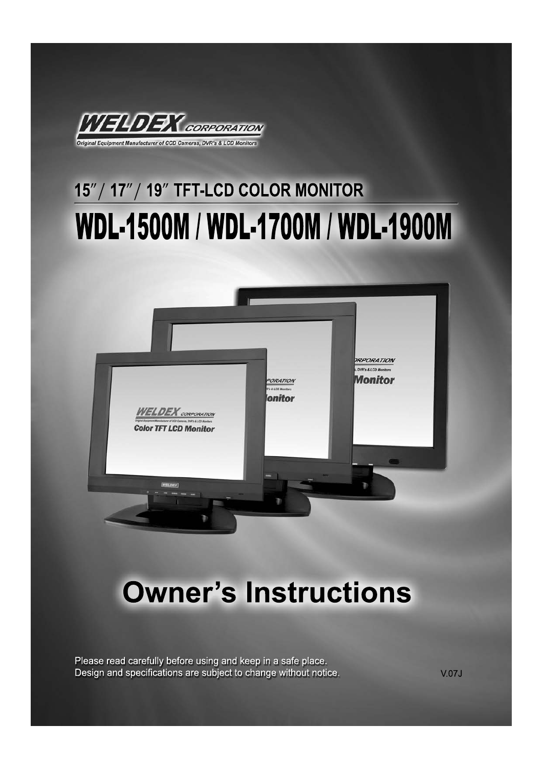

# 15" / 17" / 19" TFT-LCD COLOR MONITOR WDL-1500M / WDL-1700M / WDL-1900M



# **Owner's Instructions**

Please read carefully before using and keep in a safe place. Design and specifications are subject to change without notice.

 $V.07J$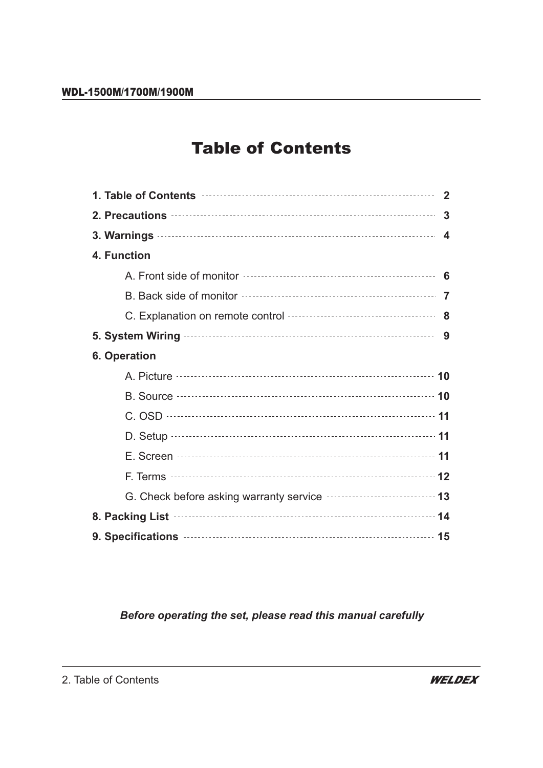# Table of Contents

| 1. Table of Contents <b>contents</b> and the content of the content of the content of the content of the content of the content of the content of the content of the content of the content of the content of the content of the co  | $\mathbf{2}$   |
|--------------------------------------------------------------------------------------------------------------------------------------------------------------------------------------------------------------------------------------|----------------|
|                                                                                                                                                                                                                                      | $\overline{3}$ |
|                                                                                                                                                                                                                                      |                |
| 4. Function                                                                                                                                                                                                                          |                |
|                                                                                                                                                                                                                                      |                |
|                                                                                                                                                                                                                                      |                |
|                                                                                                                                                                                                                                      |                |
| 5. System Wiring <b>Wiring 2000</b> 3                                                                                                                                                                                                |                |
| 6. Operation                                                                                                                                                                                                                         |                |
| A. Picture <b>contract and the contract of the contract of the contract of the contract of the contract of the contract of the contract of the contract of the contract of the contract of the contract of the contract of the c</b> |                |
| B. Source <b>Manual</b> Construction of the Source of Table 30 and Table 30 and Table 30 and Table 30 and Table 30 and Table 30 and Table 30 and Table 30 and Table 30 and Table 30 and Table 30 and Table 30 and Table 30 and Tabl  |                |
|                                                                                                                                                                                                                                      |                |
|                                                                                                                                                                                                                                      |                |
|                                                                                                                                                                                                                                      |                |
|                                                                                                                                                                                                                                      |                |
| G. Check before asking warranty service <b>constructs</b> and the 13                                                                                                                                                                 |                |
| 8. Packing List <b>Matures</b> 24                                                                                                                                                                                                    |                |
| 9. Specifications <b>continues</b> and the set of the set of the set of the set of the set of the set of the set of the                                                                                                              |                |

### *Before operating the set, please read this manual carefully*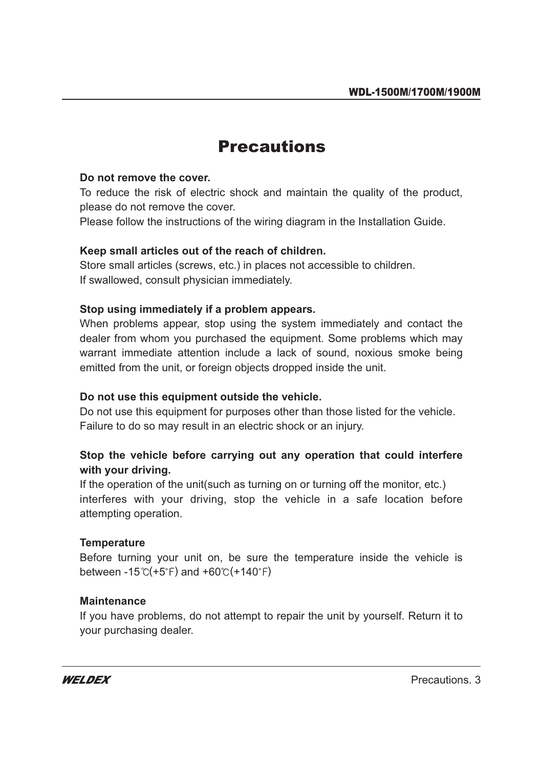### **Precautions** Precautions

#### **Do not remove the cover.**

To reduce the risk of electric shock and maintain the quality of the product, please do not remove the cover.

Please follow the instructions of the wiring diagram in the Installation Guide.

#### **Keep small articles out of the reach of children.**

Store small articles (screws, etc.) in places not accessible to children. If swallowed, consult physician immediately.

#### **Stop using immediately if a problem appears.**

When problems appear, stop using the system immediately and contact the dealer from whom you purchased the equipment. Some problems which may warrant immediate attention include a lack of sound, noxious smoke being emitted from the unit, or foreign objects dropped inside the unit.

#### **Do not use this equipment outside the vehicle.**

Do not use this equipment for purposes other than those listed for the vehicle. Failure to do so may result in an electric shock or an injury.

#### **Stop the vehicle before carrying out any operation that could interfere with your driving.**

If the operation of the unit (such as turning on or turning off the monitor, etc.) interferes with your driving, stop the vehicle in a safe location before attempting operation.

#### **Temperature**

Before turning your unit on, be sure the temperature inside the vehicle is between -15 $\mathcal{C}$ (+5 $\mathcal{F}$ ) and +60 $\mathcal{C}$ (+140 $\mathcal{F}$ )

#### **Maintenance**

If you have problems, do not attempt to repair the unit by yourself. Return it to your purchasing dealer.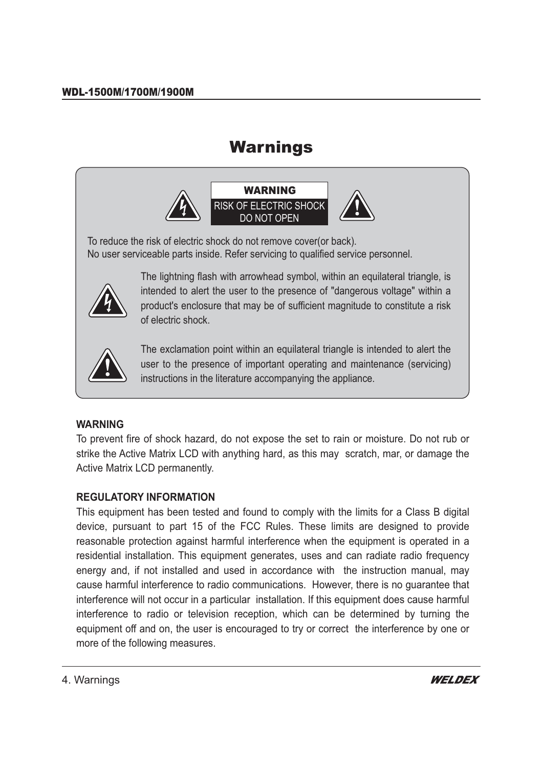## Warnings



To reduce the risk of electric shock do not remove cover(or back). No user serviceable parts inside. Refer servicing to qualified service personnel.



The lightning flash with arrowhead symbol, within an equilateral triangle, is intended to alert the user to the presence of "dangerous voltage" within a product's enclosure that may be of sufficient magnitude to constitute a risk of electric shock.



The exclamation point within an equilateral triangle is intended to alert the user to the presence of important operating and maintenance (servicing) instructions in the literature accompanying the appliance.

#### **WARNING**

To prevent fire of shock hazard, do not expose the set to rain or moisture. Do not rub or strike the Active Matrix LCD with anything hard, as this may scratch, mar, or damage the Active Matrix LCD permanently.

#### **REGULATORY INFORMATION**

This equipment has been tested and found to comply with the limits for a Class B digital device, pursuant to part 15 of the FCC Rules. These limits are designed to provide reasonable protection against harmful interference when the equipment is operated in a residential installation. This equipment generates, uses and can radiate radio frequency energy and, if not installed and used in accordance with the instruction manual, may cause harmful interference to radio communications. However, there is no guarantee that interference will not occur in a particular installation. If this equipment does cause harmful interference to radio or television reception, which can be determined by turning the equipment off and on, the user is encouraged to try or correct the interference by one or more of the following measures.

4. Warnings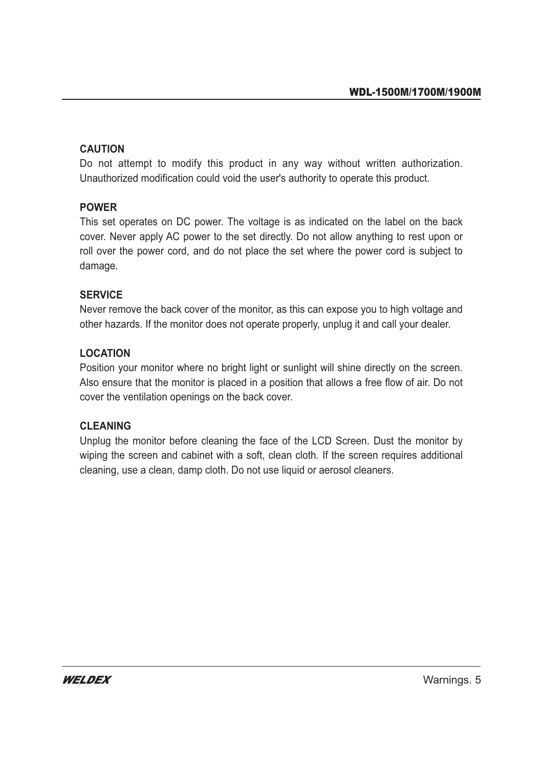#### **CAUTION**

Do not attempt to modify this product in any way without written authorization. Unauthorized modification could void the user's authority to operate this product.

#### **POWER**

This set operates on DC power. The voltage is as indicated on the label on the back cover. Never apply AC power to the set directly. Do not allow anything to rest upon or roll over the power cord, and do not place the set where the power cord is subject to damage.

#### **SERVICE**

Never remove the back cover of the monitor, as this can expose you to high voltage and other hazards. If the monitor does not operate properly, unplug it and call your dealer.

#### **LOCATION**

Position your monitor where no bright light or sunlight will shine directly on the screen. Also ensure that the monitor is placed in a position that allows a free flow of air. Do not cover the ventilation openings on the back cover.

#### **CLEANING**

Unplug the monitor before cleaning the face of the LCD Screen. Dust the monitor by wiping the screen and cabinet with a soft, clean cloth. If the screen requires additional cleaning, use a clean, damp cloth. Do not use liquid or aerosol cleaners.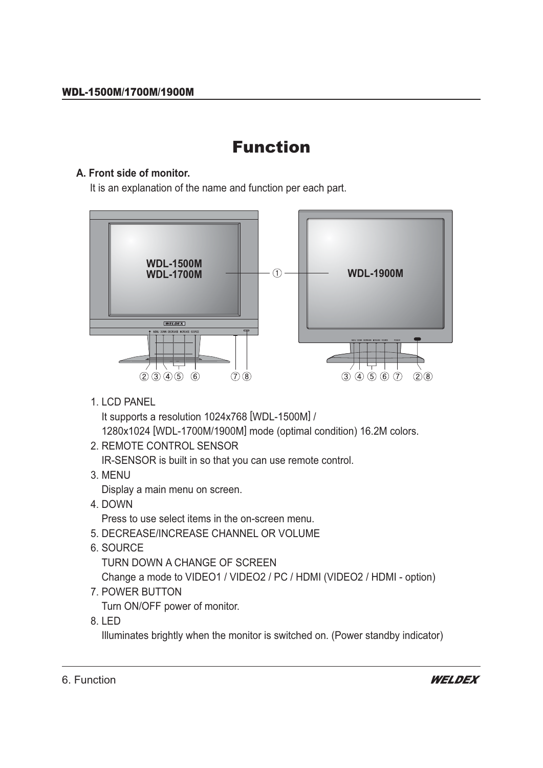## **Function** Function

#### **A. Front side of monitor.**

It is an explanation of the name and function per each part.



1. LCD PANEL

It supports a resolution 1024x768 [WDL-1500M] /

1280x1024 [WDL-1700M/1900M] mode (optimal condition) 16.2M colors.

2. REMOTE CONTROL SENSOR

IR-SENSOR is built in so that you can use remote control.

3. MENU

Display a main menu on screen.

4. DOWN

Press to use select items in the on-screen menu.

- 5. DECREASE/INCREASE CHANNEL OR VOLUME
- 6. SOURCE

TURN DOWN A CHANGE OF SCREEN

Change a mode to VIDEO1 / VIDEO2 / PC / HDMI (VIDEO2 / HDMI - option)

7. POWER BUTTON

Turn ON/OFF power of monitor.

8. LED

Illuminates brightly when the monitor is switched on. (Power standby indicator)

6. Function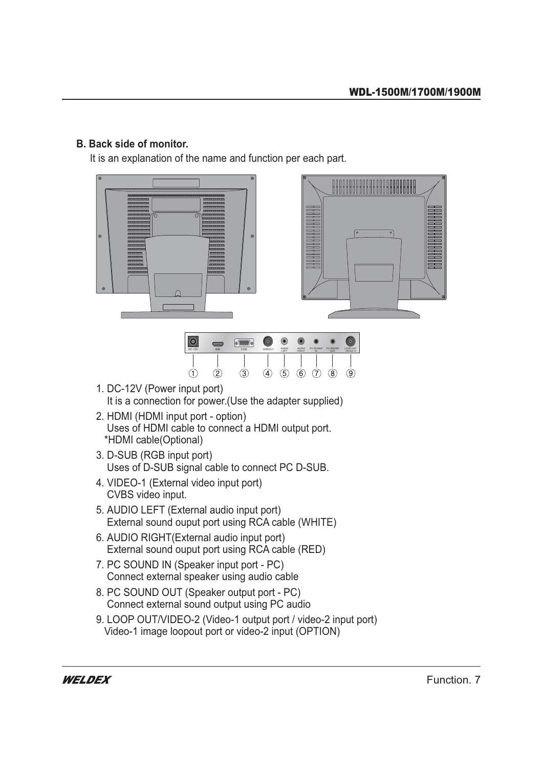#### **B. Back side of monitor.**

It is an explanation of the name and function per each part.







- 1. DC-12V (Power input port) It is a connection for power (Use the adapter supplied)
- 2. HDMI (HDMI input port option) Uses of HDMI cable to connect a HDMI output port. \*HDMI cable(Optional)
- 3. D-SUB (RGB input port) Uses of D-SUB signal cable to connect PC D-SUB.
- 4. VIDEO-1 (External video input port) CVBS video input.
- 5. AUDIO LEFT (External audio input port) External sound ouput port using RCA cable (WHITE)
- 6. AUDIO RIGHT (External audio input port) External sound ouput port using RCA cable (RED)
- 7. PC SOUND IN (Speaker input port PC) Connect external speaker using audio cable
- 8. PC SOUND OUT (Speaker output port PC) Connect external sound output using PC audio
- 9. LOOP OUT/VIDEO-2 (Video-1 output port / video-2 input port) Video-1 image loopout port or video-2 input (OPTION)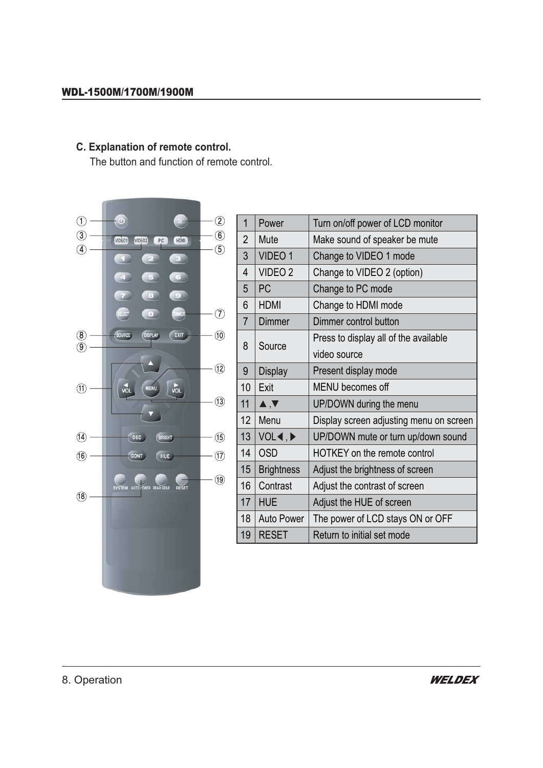## **C. Explanation of remote control.**

The button and function of remote control.



| 1                | Power                                | Turn on/off power of LCD monitor        |  |  |
|------------------|--------------------------------------|-----------------------------------------|--|--|
| 2                | Mute                                 | Make sound of speaker be mute           |  |  |
| 3                | VIDEO 1                              | Change to VIDEO 1 mode                  |  |  |
| 4                | VIDEO <sub>2</sub>                   | Change to VIDEO 2 (option)              |  |  |
| 5                | PC                                   | Change to PC mode                       |  |  |
| 6                | <b>HDMI</b>                          | Change to HDMI mode                     |  |  |
| $\overline{7}$   | Dimmer                               | Dimmer control button                   |  |  |
|                  |                                      | Press to display all of the available   |  |  |
| 8                | Source                               | video source                            |  |  |
| 9                | <b>Display</b>                       | Present display mode                    |  |  |
| 10               | Exit                                 | MENU becomes off                        |  |  |
| 11               | $\blacktriangle, \blacktriangledown$ | UP/DOWN during the menu                 |  |  |
| 12 <sup>2</sup>  | Menu                                 | Display screen adjusting menu on screen |  |  |
| 13 <sup>2</sup>  | VOL <b>∢</b> ,▶                      | UP/DOWN mute or turn up/down sound      |  |  |
| 14               | <b>OSD</b>                           | <b>HOTKEY</b> on the remote control     |  |  |
| 15 <sub>15</sub> | <b>Brightness</b>                    | Adjust the brightness of screen         |  |  |
| 16 <sup>°</sup>  | Contrast                             | Adjust the contrast of screen           |  |  |
| 17               | <b>HUE</b>                           | Adjust the HUE of screen                |  |  |
| 18               | <b>Auto Power</b>                    | The power of LCD stays ON or OFF        |  |  |
| 19               | <b>RESET</b>                         | Return to initial set mode              |  |  |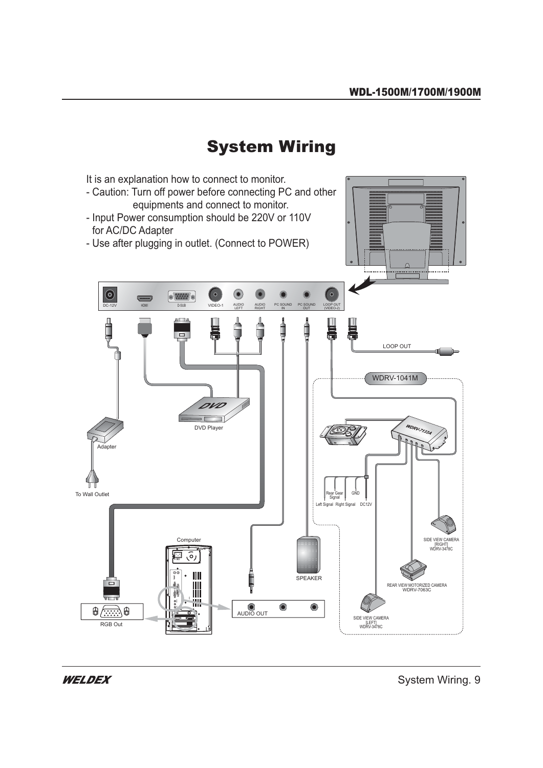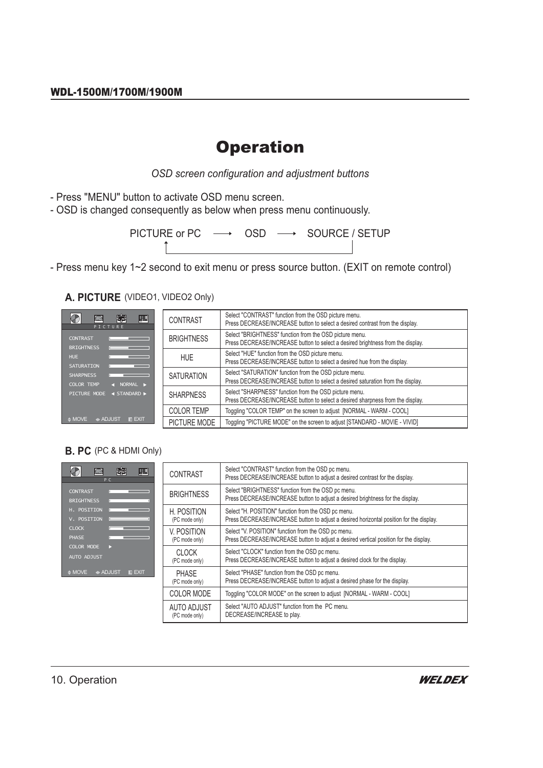## **Operation**

OSD screen configuration and adjustment buttons

- Press "MENU" button to activate OSD menu screen.
- OSD is changed consequently as below when press menu continuously.

PICTURE or PC → OSD → SOURCE / SETUP

- Press menu key 1~2 second to exit menu or press source button. (EXIT on remote control)

A. PICTURE (VIDEO1, VIDEO2 Only)

| 霹<br>$\blacksquare$<br>CTURE              | <b>CONTRAST</b>   | Select "CONTRAST" function from the OSD picture menu.<br>Press DECREASE/INCREASE button to select a desired contrast from the display.     |
|-------------------------------------------|-------------------|--------------------------------------------------------------------------------------------------------------------------------------------|
|                                           | <b>BRIGHTNESS</b> | Select "BRIGHTNESS" function from the OSD picture menu.<br>Press DECREASE/INCREASE button to select a desired brightness from the display. |
|                                           | <b>HUE</b>        | Select "HUE" function from the OSD picture menu.<br>Press DECREASE/INCREASE button to select a desired hue from the display.               |
| NORMAL $\blacktriangleright$              | <b>SATURATION</b> | Select "SATURATION" function from the OSD picture menu.<br>Press DECREASE/INCREASE button to select a desired saturation from the display. |
| $\triangleleft$ STANDARD $\triangleright$ | <b>SHARPNESS</b>  | Select "SHARPNESS" function from the OSD picture menu.<br>Press DECREASE/INCREASE button to select a desired sharpness from the display.   |
|                                           | <b>COLOR TEMP</b> | Toggling "COLOR TEMP" on the screen to adjust [NORMAL - WARM - COOL]                                                                       |
| <b>ADJUST</b><br><b>IIII</b> EXIT         | PICTURE MODE      | Toggling "PICTURE MODE" on the screen to adjust [STANDARD - MOVIE - VIVID]                                                                 |

#### **B. PC** (PC & HDMI Only)

 $\overline{\bigcirc}$ 

BRIGHTNES

SHARPNESS COLOR TEM

 $\triangleq$  MOVE

 $\sqrt{2}$ 

|                    | P C                                                                                      |
|--------------------|------------------------------------------------------------------------------------------|
| <b>CONTRAST</b>    |                                                                                          |
| <b>BRIGHTNESS</b>  |                                                                                          |
| H. POSITION        |                                                                                          |
| V. POSITION        |                                                                                          |
| <b>CLOCK</b>       |                                                                                          |
| <b>PHASE</b>       |                                                                                          |
| <b>COLOR MODE</b>  | B                                                                                        |
| <b>AUTO ADJUST</b> |                                                                                          |
|                    | $\textcolor{red}{\bullet}$ MOVE $\quad \textcolor{red}{\bullet}$ ADJUST $\quad$ III EXIT |

| Select "CONTRAST" function from the OSD pc menu.<br>Press DECREASE/INCREASE button to adjust a desired contrast for the display.               |
|------------------------------------------------------------------------------------------------------------------------------------------------|
| Select "BRIGHTNESS" function from the OSD pc menu.<br>Press DECREASE/INCREASE button to adjust a desired brightness for the display.           |
| Select "H. POSITION" function from the OSD pc menu.<br>Press DECREASE/INCREASE button to adjust a desired horizontal position for the display. |
| Select "V. POSITION" function from the OSD pc menu.<br>Press DECREASE/INCREASE button to adjust a desired vertical position for the display.   |
| Select "CLOCK" function from the OSD pc menu.<br>Press DECREASE/INCREASE button to adjust a desired clock for the display.                     |
| Select "PHASE" function from the OSD pc menu.<br>Press DECREASE/INCREASE button to adjust a desired phase for the display.                     |
| Toggling "COLOR MODE" on the screen to adjust [NORMAL - WARM - COOL]                                                                           |
| Select "AUTO ADJUST" function from the PC menu.<br>DECREASE/INCREASE to play.                                                                  |
|                                                                                                                                                |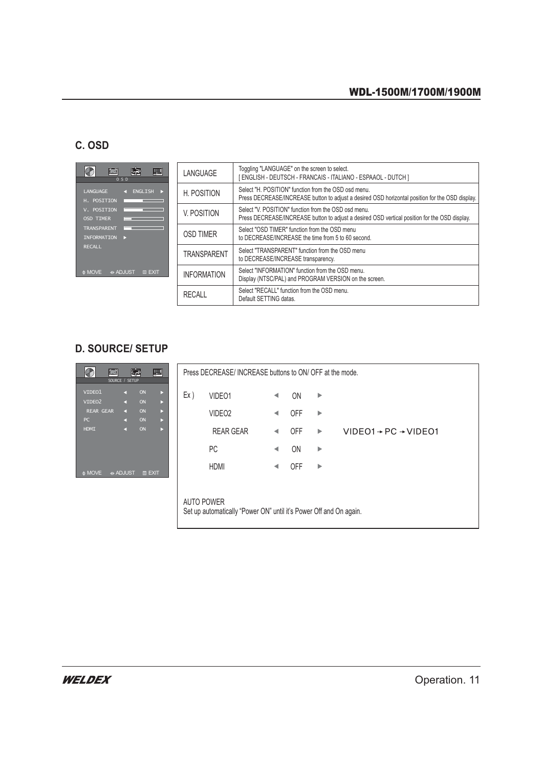#### C. OSD

|                    | 0 S D                    |
|--------------------|--------------------------|
| <b>LANGUAGE</b>    | <b>ENGLISH</b><br>л      |
| H. POSITION        | $\sim$                   |
| V. POSITION        |                          |
| <b>OSD TIMER</b>   |                          |
| <b>TRANSPARENT</b> | le de la                 |
| <b>INFORMATION</b> |                          |
| <b>RECALL</b>      |                          |
|                    |                          |
|                    |                          |
|                    | ♦ MOVE + ADJUST III EXIT |

| LANGUAGE           | Toggling "LANGUAGE" on the screen to select.<br>ENGLISH - DEUTSCH - FRANCAIS - ITALIANO - ESPAAOL - DUTCH ]                                             |
|--------------------|---------------------------------------------------------------------------------------------------------------------------------------------------------|
| H. POSITION        | Select "H. POSITION" function from the OSD osd menu.<br>Press DECREASE/INCREASE button to adjust a desired OSD horizontal position for the OSD display. |
| V. POSITION        | Select "V. POSITION" function from the OSD osd menu.<br>Press DECREASE/INCREASE button to adjust a desired OSD vertical position for the OSD display.   |
| OSD TIMER          | Select "OSD TIMER" function from the OSD menu<br>to DECREASE/INCREASE the time from 5 to 60 second.                                                     |
| <b>TRANSPARENT</b> | Select "TRANSPARFNT" function from the OSD menu<br>to DECREASE/INCREASE transparency.                                                                   |
| <b>INFORMATION</b> | Select "INFORMATION" function from the OSD menu.<br>Display (NTSC/PAL) and PROGRAM VERSION on the screen.                                               |
| RECALL             | Select "RECALL" function from the OSD menu.<br>Default SETTING datas.                                                                                   |

### **D. SOURCE/SETUP**

| $\overline{\mathcal{O}}$<br>靏<br>$\blacksquare$<br>$\bigcirc$<br>SOURCE /<br><b>SETUP</b> | Press DECREASE/INCREASE buttons to ON/OFF at the mode.                                 |  |  |
|-------------------------------------------------------------------------------------------|----------------------------------------------------------------------------------------|--|--|
| VIDEO1<br>ON<br>K.<br>ON<br>VIDEO <sub>2</sub><br>×.                                      | Ex)<br>VIDEO1<br>0N<br>▶                                                               |  |  |
| <b>REAR GEAR</b><br>ON<br>×.<br>x<br>ON<br>PC<br>K.<br>Ы                                  | VIDEO <sub>2</sub><br><b>OFF</b><br>▶                                                  |  |  |
| ON<br><b>HDMI</b><br>и                                                                    | <b>REAR GEAR</b><br>$VIDEO1 \rightarrow PC \rightarrow VIDEO1$<br><b>OFF</b><br>▶<br>◀ |  |  |
|                                                                                           | <b>PC</b><br>ON<br>▶                                                                   |  |  |
| $\triangleq$ MOVE<br><b>Example 4</b><br><b>III EXIT</b>                                  | <b>HDMI</b><br><b>OFF</b><br>▶                                                         |  |  |
|                                                                                           | <b>AUTO POWER</b>                                                                      |  |  |
| Set up automatically "Power ON" until it's Power Off and On again.                        |                                                                                        |  |  |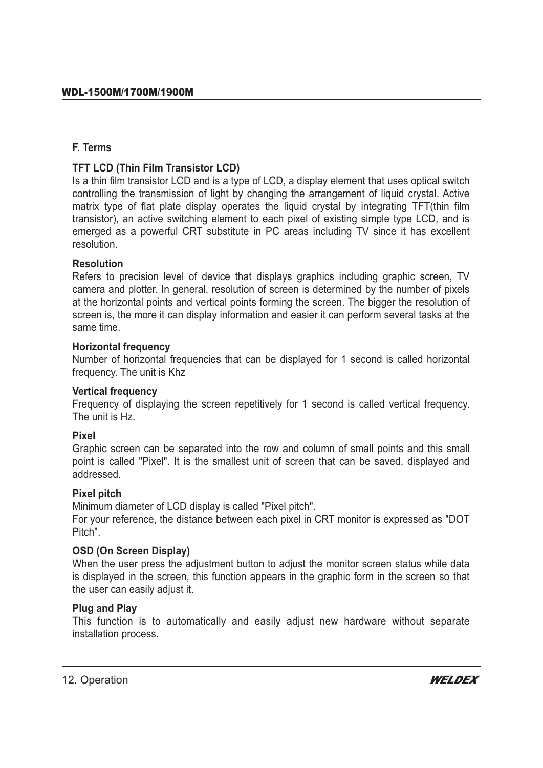#### **F. Terms**

#### **TFT LCD (Thin Film Transistor LCD)**

Is a thin film transistor LCD and is a type of LCD, a display element that uses optical switch controlling the transmission of light by changing the arrangement of liquid crystal. Active matrix type of flat plate display operates the liquid crystal by integrating TFT(thin film transistor), an active switching element to each pixel of existing simple type LCD, and is emerged as a powerful CRT substitute in PC areas including TV since it has excellent resolution.

#### **Resolution**

Refers to precision level of device that displays graphics including graphic screen, TV camera and plotter. In general, resolution of screen is determined by the number of pixels at the horizontal points and vertical points forming the screen. The bigger the resolution of screen is, the more it can display information and easier it can perform several tasks at the same time.

#### **Horizontal frequency**

Number of horizontal frequencies that can be displayed for 1 second is called horizontal frequency. The unit is Khz

#### **Vertical frequency**

Frequency of displaying the screen repetitively for 1 second is called vertical frequency. The unit is Hz.

#### **Pixel**

Graphic screen can be separated into the row and column of small points and this small point is called "Pixel". It is the smallest unit of screen that can be saved, displayed and addressed.

#### **Pixel pitch**

Minimum diameter of LCD display is called "Pixel pitch".

For your reference, the distance between each pixel in CRT monitor is expressed as "DOT Pitch".

#### **OSD (On Screen Display)**

When the user press the adjustment button to adjust the monitor screen status while data is displayed in the screen, this function appears in the graphic form in the screen so that the user can easily adjust it.

#### **Plug and Play**

This function is to automatically and easily adjust new hardware without separate installation process.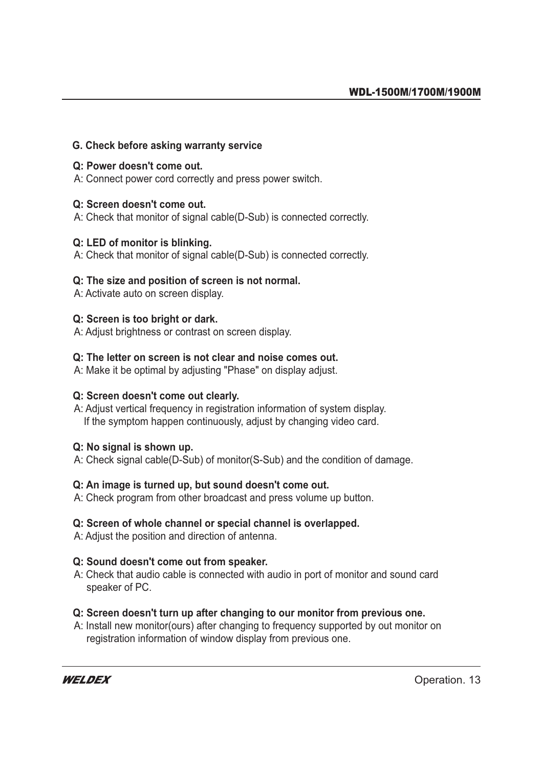#### **G. Check before asking warranty service**

#### **Q: Power doesn't come out.**

A: Connect power cord correctly and press power switch.

#### **Q: Screen doesn't come out.**

A: Check that monitor of signal cable(D-Sub) is connected correctly.

#### **Q: LED of monitor is blinking.**

A: Check that monitor of signal cable(D-Sub) is connected correctly.

#### **Q: The size and position of screen is not normal.**

A: Activate auto on screen display.

#### **Q: Screen is too bright or dark.**

A: Adjust brightness or contrast on screen display.

#### **Q: The letter on screen is not clear and noise comes out.**

A: Make it be optimal by adjusting "Phase" on display adjust.

#### **Q: Screen doesn't come out clearly.**

A: Adjust vertical frequency in registration information of system display. If the symptom happen continuously, adjust by changing video card.

#### **Q: No signal is shown up.**

A: Check signal cable(D-Sub) of monitor(S-Sub) and the condition of damage.

#### **Q: An image is turned up, but sound doesn't come out.**

A: Check program from other broadcast and press volume up button.

#### **Q: Screen of whole channel or special channel is overlapped.**

A: Adjust the position and direction of antenna.

#### **Q: Sound doesn't come out from speaker.**

A: Check that audio cable is connected with audio in port of monitor and sound card speaker of PC.

#### **Q: Screen doesn't turn up after changing to our monitor from previous one.**

A: Install new monitor(ours) after changing to frequency supported by out monitor on registration information of window display from previous one.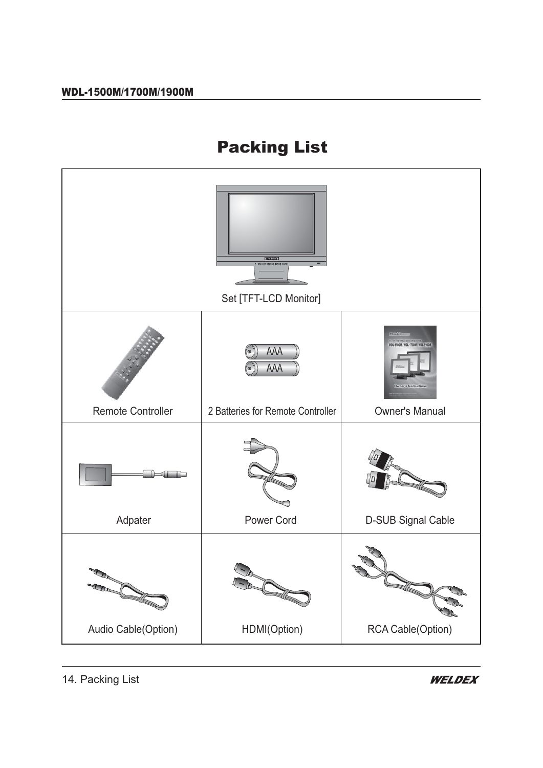# Packing List

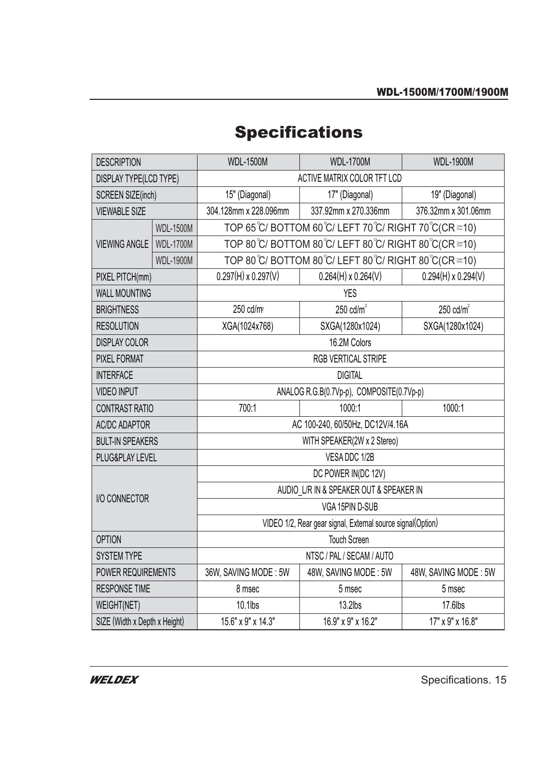## **Specifications**

| <b>DESCRIPTION</b>            |                  | <b>WDL-1500M</b>                                            | <b>WDL-1700M</b>           | <b>WDL-1900M</b>           |  |
|-------------------------------|------------------|-------------------------------------------------------------|----------------------------|----------------------------|--|
| DISPLAY TYPE(LCD TYPE)        |                  | ACTIVE MATRIX COLOR TFT LCD                                 |                            |                            |  |
| <b>SCREEN SIZE(inch)</b>      |                  | 15" (Diagonal)                                              | 17" (Diagonal)             | 19" (Diagonal)             |  |
| <b>VIEWABLE SIZE</b>          |                  | 304.128mm x 228.096mm                                       | 337.92mm x 270.336mm       | 376.32mm x 301.06mm        |  |
| <b>VIEWING ANGLE</b>          | <b>WDL-1500M</b> | TOP 65°C/BOTTOM 60°C/LEFT 70°C/RIGHT 70°C(CR $\geq$ 10)     |                            |                            |  |
|                               | <b>WDL-1700M</b> | TOP 80 ℃/ BOTTOM 80 ℃/ LEFT 80 ℃/ RIGHT 80 ℃ (CR ≥10)       |                            |                            |  |
|                               | <b>WDL-1900M</b> | TOP 80 ℃/ BOTTOM 80 ℃/ LEFT 80 ℃/ RIGHT 80 ℃ (CR ≥10)       |                            |                            |  |
| PIXEL PITCH(mm)               |                  | $0.297(H) \times 0.297(V)$                                  | $0.264(H) \times 0.264(V)$ | $0.294(H) \times 0.294(V)$ |  |
| <b>WALL MOUNTING</b>          |                  | <b>YES</b>                                                  |                            |                            |  |
| <b>BRIGHTNESS</b>             |                  | 250 cd/m <sup>2</sup>                                       | 250 $cd/m2$                | $250 \text{ cdm}^2$        |  |
| <b>RESOLUTION</b>             |                  | XGA(1024x768)                                               | SXGA(1280x1024)            | SXGA(1280x1024)            |  |
| <b>DISPLAY COLOR</b>          |                  | 16.2M Colors                                                |                            |                            |  |
| <b>PIXEL FORMAT</b>           |                  | <b>RGB VERTICAL STRIPE</b>                                  |                            |                            |  |
| <b>INTERFACE</b>              |                  | <b>DIGITAL</b>                                              |                            |                            |  |
| <b>VIDEO INPUT</b>            |                  | ANALOG R.G.B(0.7Vp-p), COMPOSITE(0.7Vp-p)                   |                            |                            |  |
| <b>CONTRAST RATIO</b>         |                  | 700:1                                                       | 1000:1                     | 1000:1                     |  |
| <b>AC/DC ADAPTOR</b>          |                  | AC 100-240, 60/50Hz, DC12V/4.16A                            |                            |                            |  |
| <b>BULT-IN SPEAKERS</b>       |                  | WITH SPEAKER(2W x 2 Stereo)                                 |                            |                            |  |
| PLUG&PLAY LEVEL               |                  | VESA DDC 1/2B                                               |                            |                            |  |
|                               |                  | DC POWER IN(DC 12V)                                         |                            |                            |  |
| I/O CONNECTOR                 |                  | AUDIO L/R IN & SPEAKER OUT & SPEAKER IN                     |                            |                            |  |
|                               |                  | VGA 15PIN D-SUB                                             |                            |                            |  |
|                               |                  | VIDEO 1/2, Rear gear signal, External source signal(Option) |                            |                            |  |
| <b>OPTION</b>                 |                  | <b>Touch Screen</b>                                         |                            |                            |  |
| <b>SYSTEM TYPE</b>            |                  | NTSC / PAL / SECAM / AUTO                                   |                            |                            |  |
| POWER REQUIREMENTS            |                  | 36W, SAVING MODE: 5W                                        | 48W, SAVING MODE: 5W       | 48W, SAVING MODE: 5W       |  |
| <b>RESPONSE TIME</b>          |                  | 8 msec                                                      | 5 msec                     | 5 msec                     |  |
| WEIGHT(NET)                   |                  | 10.1lbs                                                     | $13.2$ lbs                 | 17.6lbs                    |  |
| SIZE (Width x Depth x Height) |                  | 15.6" x 9" x 14.3"                                          | 16.9" x 9" x 16.2"         | 17" x 9" x 16.8"           |  |